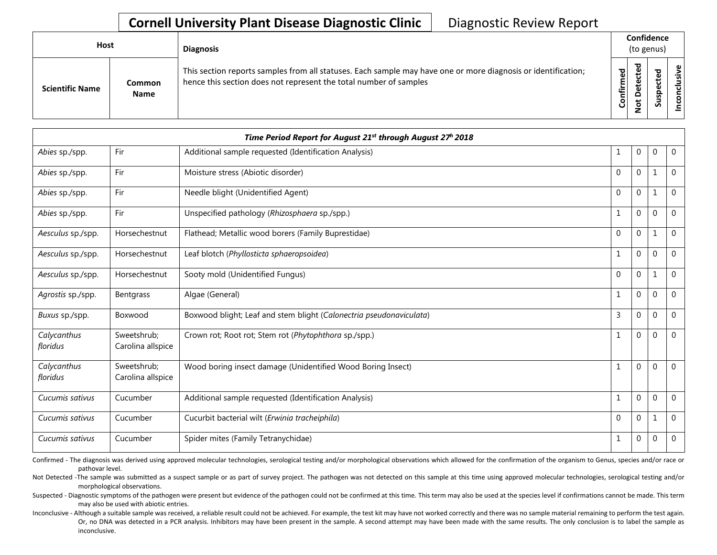## **Cornell University Plant Disease Diagnostic Clinic** | Diagnostic Review Report

| Host                   |                       | <b>Diagnosis</b>                                                                                                                                                                   |           | Confidence<br>(to genus) |        |                       |  |  |
|------------------------|-----------------------|------------------------------------------------------------------------------------------------------------------------------------------------------------------------------------|-----------|--------------------------|--------|-----------------------|--|--|
| <b>Scientific Name</b> | Common<br><b>Name</b> | This section reports samples from all statuses. Each sample may have one or more diagnosis or identification;<br>hence this section does not represent the total number of samples | Confirmed | ъ<br>Δ                   | s<br>n | usive<br>᠊ᠣ<br>c<br>g |  |  |

|                         |                                  | Time Period Report for August 21 <sup>st</sup> through August 27 <sup>h</sup> 2018 |              |   |          |                |
|-------------------------|----------------------------------|------------------------------------------------------------------------------------|--------------|---|----------|----------------|
| Abies sp./spp.          | Fir                              | Additional sample requested (Identification Analysis)                              | 1            | 0 | $\Omega$ | $\overline{0}$ |
| Abies sp./spp.          | Fir                              | Moisture stress (Abiotic disorder)                                                 | $\mathbf 0$  | 0 | 1        | $\overline{0}$ |
| Abies sp./spp.          | Fir                              | Needle blight (Unidentified Agent)                                                 | $\Omega$     | 0 |          | 0              |
| Abies sp./spp.          | Fir                              | Unspecified pathology (Rhizosphaera sp./spp.)                                      | 1            | 0 | $\Omega$ | 0              |
| Aesculus sp./spp.       | Horsechestnut                    | Flathead; Metallic wood borers (Family Buprestidae)                                | $\Omega$     | 0 | -1       | $\overline{0}$ |
| Aesculus sp./spp.       | Horsechestnut                    | Leaf blotch (Phyllosticta sphaeropsoidea)                                          | $\mathbf{1}$ | 0 | $\Omega$ | $\Omega$       |
| Aesculus sp./spp.       | Horsechestnut                    | Sooty mold (Unidentified Fungus)                                                   | $\Omega$     | 0 | 1        | 0              |
| Agrostis sp./spp.       | Bentgrass                        | Algae (General)                                                                    | 1            | 0 | $\Omega$ | $\mathbf 0$    |
| Buxus sp./spp.          | Boxwood                          | Boxwood blight; Leaf and stem blight (Calonectria pseudonaviculata)                | 3            | 0 | $\Omega$ | $\overline{0}$ |
| Calycanthus<br>floridus | Sweetshrub;<br>Carolina allspice | Crown rot; Root rot; Stem rot (Phytophthora sp./spp.)                              | $\mathbf{1}$ | 0 | $\Omega$ | $\overline{0}$ |
| Calycanthus<br>floridus | Sweetshrub;<br>Carolina allspice | Wood boring insect damage (Unidentified Wood Boring Insect)                        | $\mathbf{1}$ | 0 | ∩        | 0              |
| Cucumis sativus         | Cucumber                         | Additional sample requested (Identification Analysis)                              | $\mathbf{1}$ | 0 | $\Omega$ | $\Omega$       |
| Cucumis sativus         | Cucumber                         | Cucurbit bacterial wilt (Erwinia tracheiphila)                                     | $\mathbf 0$  | 0 |          | $\overline{0}$ |
| Cucumis sativus         | Cucumber                         | Spider mites (Family Tetranychidae)                                                | 1            | 0 | $\Omega$ | 0              |

Confirmed - The diagnosis was derived using approved molecular technologies, serological testing and/or morphological observations which allowed for the confirmation of the organism to Genus, species and/or race or pathovar level.

Not Detected -The sample was submitted as a suspect sample or as part of survey project. The pathogen was not detected on this sample at this time using approved molecular technologies, serological testing and/or morphological observations.

Suspected - Diagnostic symptoms of the pathogen were present but evidence of the pathogen could not be confirmed at this time. This term may also be used at the species level if confirmations cannot be made. This term may also be used with abiotic entries.

Inconclusive - Although a suitable sample was received, a reliable result could not be achieved. For example, the test kit may have not worked correctly and there was no sample material remaining to perform the test again. Or, no DNA was detected in a PCR analysis. Inhibitors may have been present in the sample. A second attempt may have been made with the same results. The only conclusion is to label the sample as inconclusive.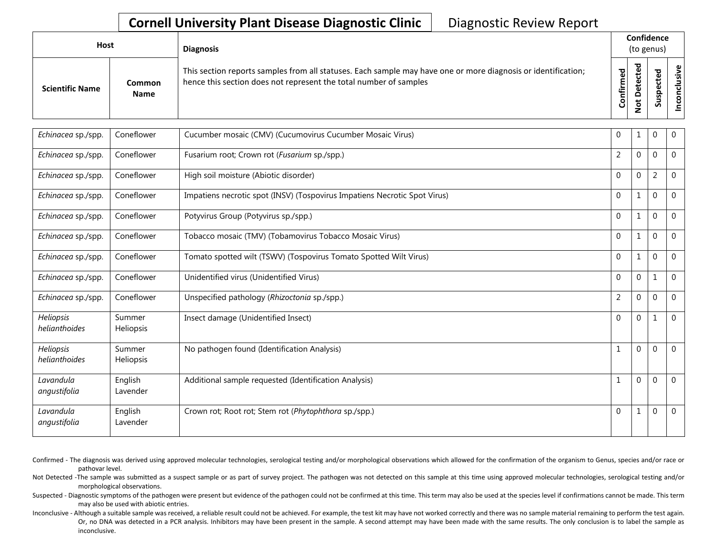## **Cornell University Plant Disease Diagnostic Clinic** | Diagnostic Review Report

| Host                   |                | <b>Diagnosis</b>                                                                                                                                                                   |           | Confidence<br>(to genus) |             |                  |
|------------------------|----------------|------------------------------------------------------------------------------------------------------------------------------------------------------------------------------------|-----------|--------------------------|-------------|------------------|
| <b>Scientific Name</b> | Common<br>Name | This section reports samples from all statuses. Each sample may have one or more diagnosis or identification;<br>hence this section does not represent the total number of samples | Confirmed | ಾ<br>≏                   | s<br>っ<br>n | usive<br>᠊ᠣ<br>g |

| Echinacea sp./spp.         | Coneflower                 | Cucumber mosaic (CMV) (Cucumovirus Cucumber Mosaic Virus)                 | 0              |                | $\theta$       | $\mathbf 0$    |
|----------------------------|----------------------------|---------------------------------------------------------------------------|----------------|----------------|----------------|----------------|
| Echinacea sp./spp.         | Coneflower                 | Fusarium root; Crown rot (Fusarium sp./spp.)                              | $\overline{2}$ | $\overline{0}$ | $\Omega$       | $\overline{0}$ |
| Echinacea sp./spp.         | Coneflower                 | High soil moisture (Abiotic disorder)                                     | $\mathbf 0$    | $\Omega$       | $\overline{2}$ | $\overline{0}$ |
| Echinacea sp./spp.         | Coneflower                 | Impatiens necrotic spot (INSV) (Tospovirus Impatiens Necrotic Spot Virus) | $\mathbf{0}$   |                | $\overline{0}$ | $\mathbf 0$    |
| Echinacea sp./spp.         | Coneflower                 | Potyvirus Group (Potyvirus sp./spp.)                                      | $\mathbf{0}$   | 1              | $\Omega$       | $\overline{0}$ |
| Echinacea sp./spp.         | Coneflower                 | Tobacco mosaic (TMV) (Tobamovirus Tobacco Mosaic Virus)                   | $\mathbf 0$    |                | $\Omega$       | $\Omega$       |
| Echinacea sp./spp.         | Coneflower                 | Tomato spotted wilt (TSWV) (Tospovirus Tomato Spotted Wilt Virus)         | $\mathbf{0}$   |                | $\Omega$       | $\overline{0}$ |
| Echinacea sp./spp.         | Coneflower                 | Unidentified virus (Unidentified Virus)                                   | $\Omega$       | 0              | 1              | $\Omega$       |
| Echinacea sp./spp.         | Coneflower                 | Unspecified pathology (Rhizoctonia sp./spp.)                              | $\overline{2}$ | $\Omega$       | $\theta$       | $\mathbf{0}$   |
| Heliopsis<br>helianthoides | Summer<br>Heliopsis        | Insect damage (Unidentified Insect)                                       | $\Omega$       | $\Omega$       |                | $\Omega$       |
| Heliopsis<br>helianthoides | Summer<br><b>Heliopsis</b> | No pathogen found (Identification Analysis)                               | $\mathbf 1$    | $\Omega$       | $\Omega$       | $\Omega$       |
| Lavandula<br>angustifolia  | English<br>Lavender        | Additional sample requested (Identification Analysis)                     |                | $\Omega$       | $\Omega$       | $\Omega$       |
| Lavandula<br>angustifolia  | English<br>Lavender        | Crown rot; Root rot; Stem rot (Phytophthora sp./spp.)                     | 0              |                | $\Omega$       | $\overline{0}$ |

- Confirmed The diagnosis was derived using approved molecular technologies, serological testing and/or morphological observations which allowed for the confirmation of the organism to Genus, species and/or race or pathovar level.
- Not Detected -The sample was submitted as a suspect sample or as part of survey project. The pathogen was not detected on this sample at this time using approved molecular technologies, serological testing and/or morphological observations.
- Suspected Diagnostic symptoms of the pathogen were present but evidence of the pathogen could not be confirmed at this time. This term may also be used at the species level if confirmations cannot be made. This term may also be used with abiotic entries.
- Inconclusive Although a suitable sample was received, a reliable result could not be achieved. For example, the test kit may have not worked correctly and there was no sample material remaining to perform the test again. Or, no DNA was detected in a PCR analysis. Inhibitors may have been present in the sample. A second attempt may have been made with the same results. The only conclusion is to label the sample as inconclusive.